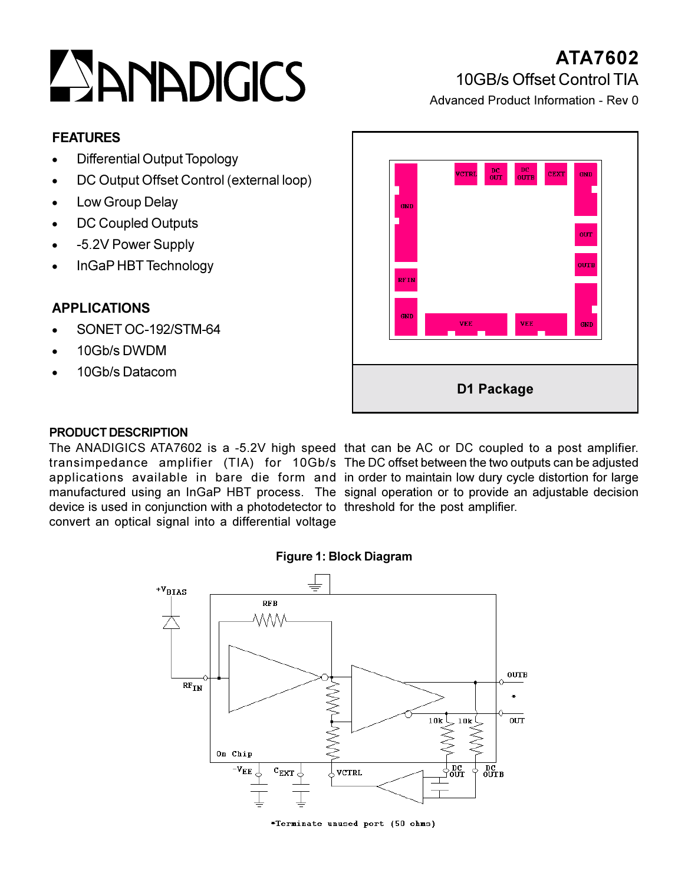# ZANADIGICS

# ATA7602 10GB/s Offset Control TIA

Advanced Product Information - Rev 0

#### **FEATURES**

- **Differential Output Topology**
- DC Output Offset Control (external loop)
- Low Group Delay
- DC Coupled Outputs  $\bullet$
- -5.2V Power Supply
- InGaP HBT Technology

## **APPLICATIONS**

- SONFT OC-192/STM-64
- 10Gb/sDWDM
- 10Gb/s Datacom



#### **PRODUCT DESCRIPTION**

device is used in conjunction with a photodetector to threshold for the post amplifier. convert an optical signal into a differential voltage

The ANADIGICS ATA7602 is a -5.2V high speed that can be AC or DC coupled to a post amplifier. transimpedance amplifier (TIA) for 10Gb/s The DC offset between the two outputs can be adjusted applications available in bare die form and in order to maintain low dury cycle distortion for large manufactured using an InGaP HBT process. The signal operation or to provide an adjustable decision

#### Figure 1: Block Diagram



\*Terminate unused port (50 ohms)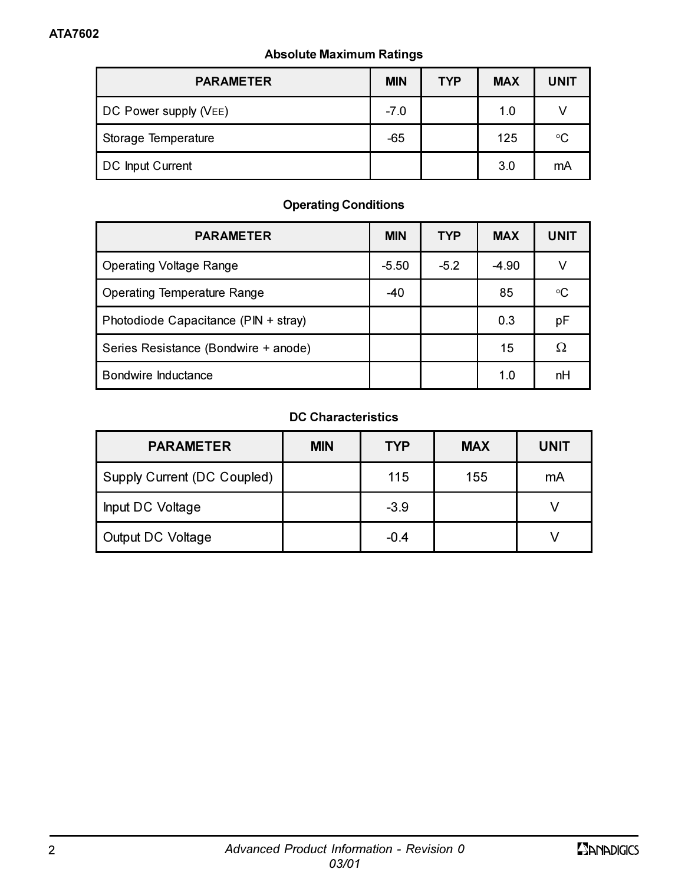#### **Absolute Maximum Ratings**

| <b>PARAMETER</b>      | <b>MIN</b> | <b>TYP</b> | <b>MAX</b> | <b>UNIT</b> |
|-----------------------|------------|------------|------------|-------------|
| DC Power supply (VEE) | $-7.0$     |            | 1.0        |             |
| Storage Temperature   | $-65$      |            | 125        | °C          |
| DC Input Current      |            |            | 3.0        | mA          |

### **Operating Conditions**

| <b>PARAMETER</b>                     | <b>MIN</b> | <b>TYP</b> | <b>MAX</b> | <b>UNIT</b> |
|--------------------------------------|------------|------------|------------|-------------|
| <b>Operating Voltage Range</b>       | $-5.50$    | $-5.2$     | $-4.90$    | ν           |
| Operating Temperature Range          | $-40$      |            | 85         | °C          |
| Photodiode Capacitance (PIN + stray) |            |            | 0.3        | pF          |
| Series Resistance (Bondwire + anode) |            |            | 15         | Ω           |
| Bondwire Inductance                  |            |            | 1.0        | nH          |

#### **DC Characteristics**

| <b>PARAMETER</b>            | <b>MIN</b> | <b>TYP</b> | <b>MAX</b> | <b>UNIT</b> |
|-----------------------------|------------|------------|------------|-------------|
| Supply Current (DC Coupled) |            | 115        | 155        | mA          |
| Input DC Voltage            |            | $-3.9$     |            |             |
| Output DC Voltage           |            | $-0.4$     |            |             |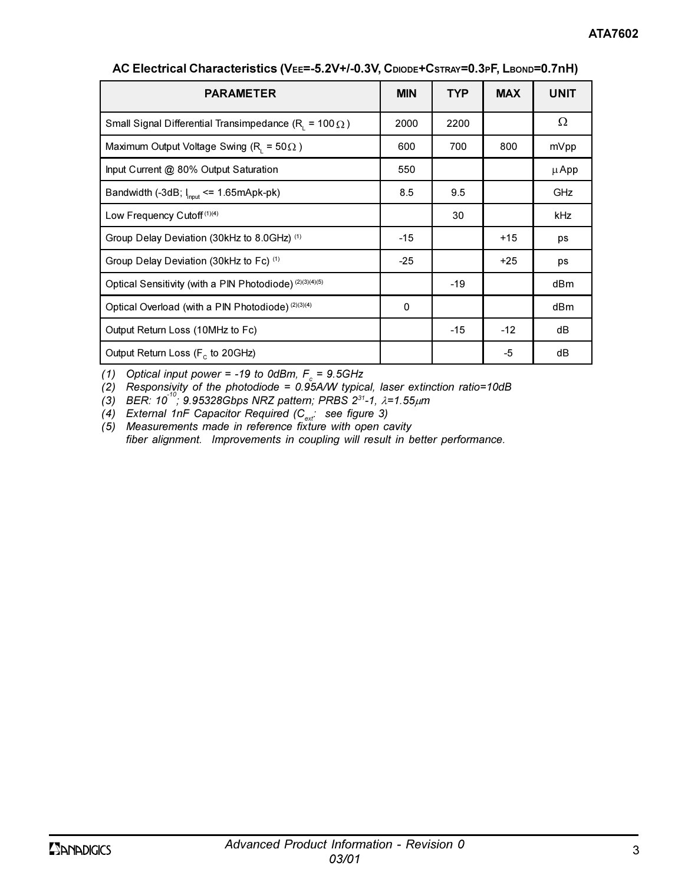| <b>PARAMETER</b>                                              | <b>MIN</b> | <b>TYP</b> | <b>MAX</b> | <b>UNIT</b> |
|---------------------------------------------------------------|------------|------------|------------|-------------|
| Small Signal Differential Transimpedance (R, = $100 \Omega$ ) | 2000       | 2200       |            | Ω           |
| Maximum Output Voltage Swing (R, = $50\Omega$ )               | 600        | 700        | 800        | mVpp        |
| Input Current @ 80% Output Saturation                         | 550        |            |            | μ App       |
| Bandwidth (-3dB; $I_{\text{inout}}$ <= 1.65mApk-pk)           | 8.5        | 9.5        |            | GHz         |
| Low Frequency Cutoff <sup>(1)(4)</sup>                        |            | 30         |            | kHz         |
| Group Delay Deviation (30kHz to 8.0GHz) (1)                   | $-15$      |            | $+15$      | ps          |
| Group Delay Deviation (30kHz to Fc) (1)                       | $-25$      |            | $+25$      | ps          |
| Optical Sensitivity (with a PIN Photodiode) (2)(3)(4)(5)      |            | $-19$      |            | dBm         |
| Optical Overload (with a PIN Photodiode) (2)(3)(4)            | 0          |            |            | dBm         |
| Output Return Loss (10MHz to Fc)                              |            | $-15$      | $-12$      | dB          |
| Output Return Loss (F <sub>c</sub> to 20GHz)                  |            |            | -5         | dB          |

AC Electrical Characteristics (VEE=-5.2V+/-0.3V, CDIODE+CSTRAY=0.3PF, LBOND=0.7nH)

(1) Optical input power = -19 to 0dBm,  $F_c$  = 9.5GHz

(2) Responsivity of the photodiode =  $0.95$ A/W typical, laser extinction ratio=10dB

(3) BER:  $10^{-10}$ ; 9.95328Gbps NRZ pattern; PRBS 2<sup>31</sup>-1,  $\lambda$ =1.55 $\mu$ m<br>(4) External 1nF Capacitor Required (C<sub>ext</sub>: see figure 3)

 $(5)$  Measurements made in reference fixture with open cavity fiber alignment. Improvements in coupling will result in better performance.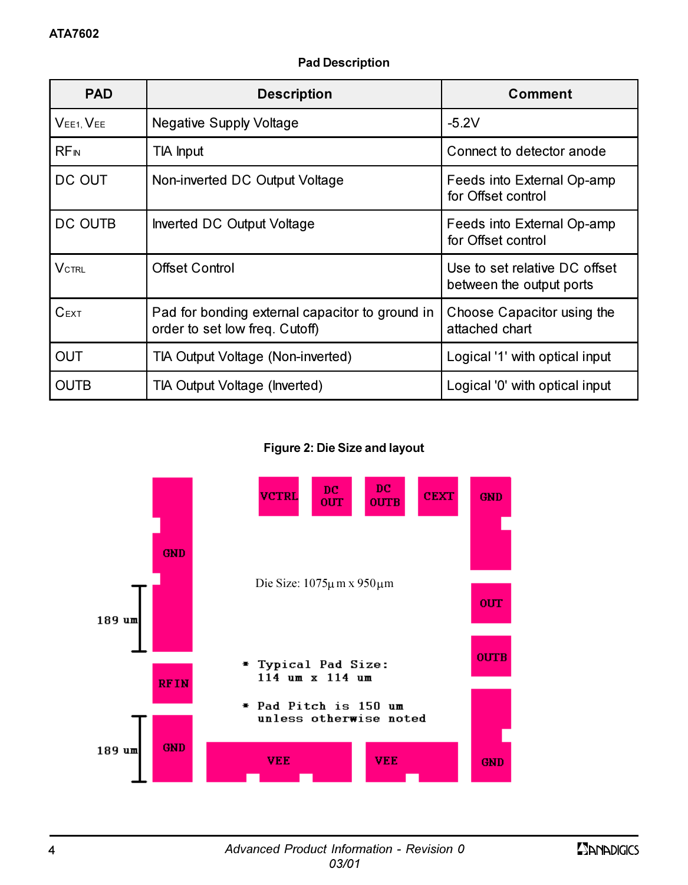|  | <b>Pad Description</b> |
|--|------------------------|
|--|------------------------|

| <b>PAD</b>             | <b>Description</b>                                                                | Comment                                                   |
|------------------------|-----------------------------------------------------------------------------------|-----------------------------------------------------------|
| $VEE1$ , $VEE$         | <b>Negative Supply Voltage</b>                                                    | $-5.2V$                                                   |
| <b>RF<sub>IN</sub></b> | TIA Input                                                                         | Connect to detector anode                                 |
| DC OUT                 | Non-inverted DC Output Voltage                                                    | Feeds into External Op-amp<br>for Offset control          |
| DC OUTB                | Inverted DC Output Voltage                                                        | Feeds into External Op-amp<br>for Offset control          |
| $\mathsf{V}$ ctrl      | <b>Offset Control</b>                                                             | Use to set relative DC offset<br>between the output ports |
| $C$ EXT                | Pad for bonding external capacitor to ground in<br>order to set low freq. Cutoff) | Choose Capacitor using the<br>attached chart              |
| OUT                    | TIA Output Voltage (Non-inverted)                                                 | Logical '1' with optical input                            |
| OUTB                   | TIA Output Voltage (Inverted)                                                     | Logical '0' with optical input                            |

Figure 2: Die Size and layout

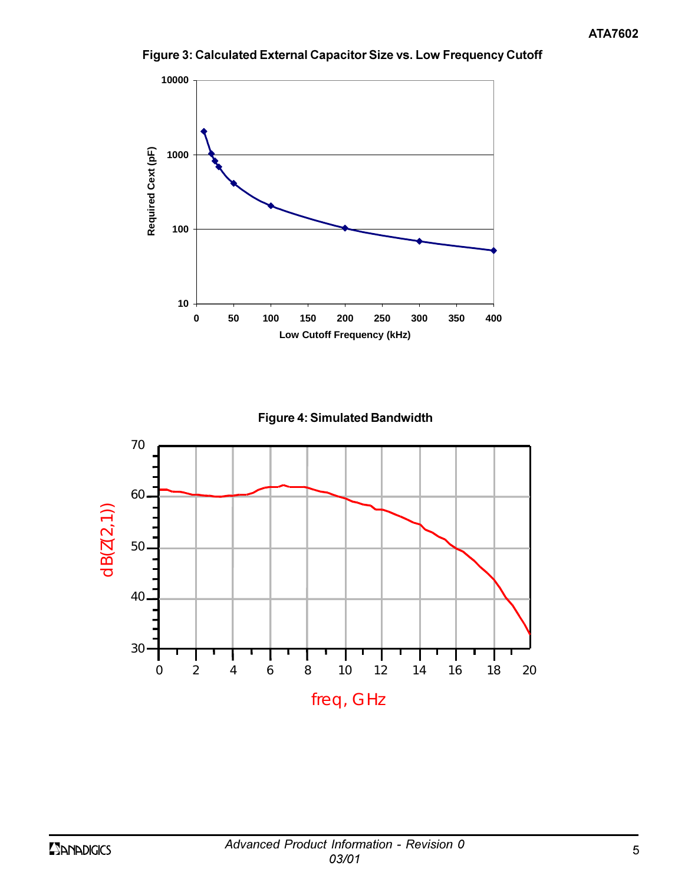

Figure 3: Calculated External Capacitor Size vs. Low Frequency Cutoff



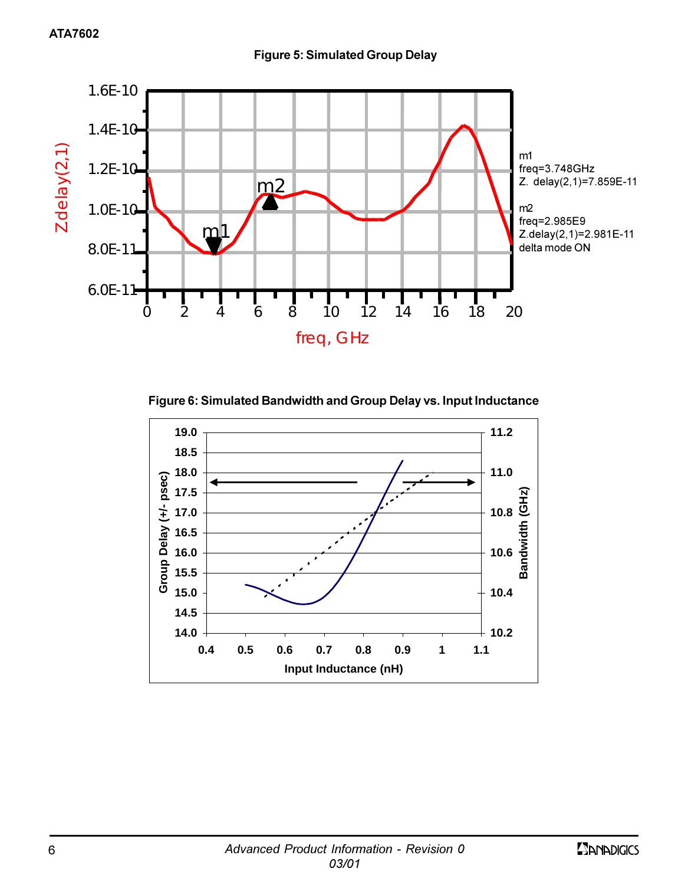

**Figure 6: Simulated Bandwidth and Group Delay vs. Input Inductance** 

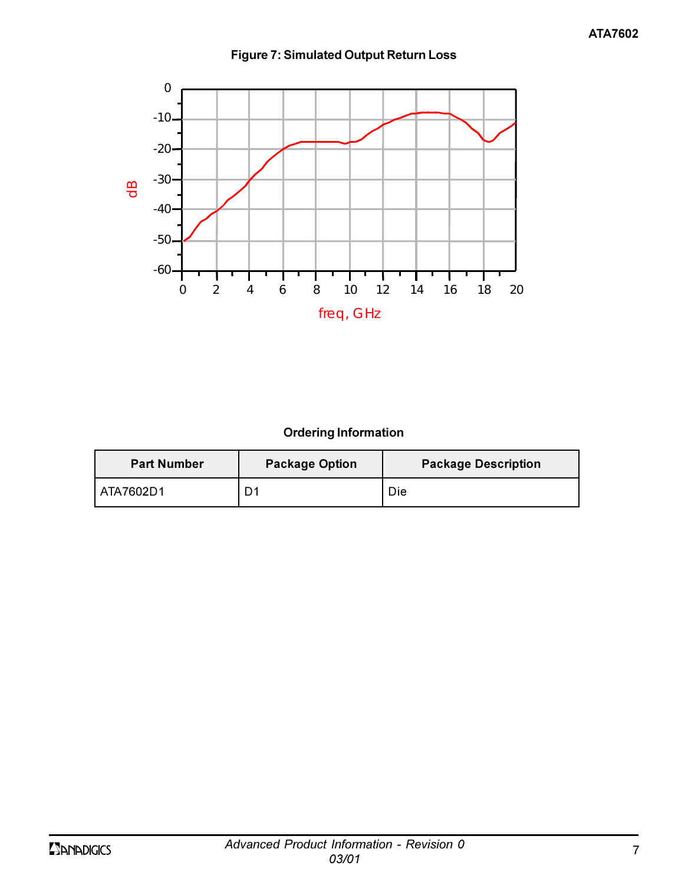



# **Ordering Information**

| <b>Part Number</b> | <b>Package Option</b> | <b>Package Description</b> |
|--------------------|-----------------------|----------------------------|
| l ATA7602D1        | D1                    | Die                        |